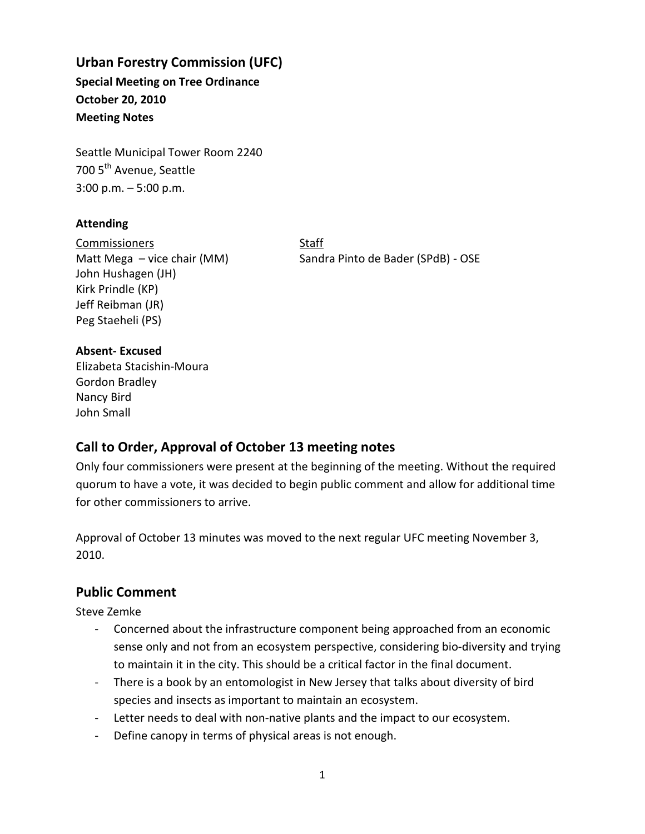# **Urban Forestry Commission (UFC) Special Meeting on Tree Ordinance**

**October 20, 2010 Meeting Notes** 

Seattle Municipal Tower Room 2240 700 5<sup>th</sup> Avenue, Seattle 3:00 p.m. – 5:00 p.m.

## **Attending**

Commissioners Staff John Hushagen (JH) Kirk Prindle (KP) Jeff Reibman (JR) Peg Staeheli (PS)

Matt Mega – vice chair (MM) Sandra Pinto de Bader (SPdB) - OSE

## **Absent- Excused**

Elizabeta Stacishin-Moura Gordon Bradley Nancy Bird John Small

# **Call to Order, Approval of October 13 meeting notes**

Only four commissioners were present at the beginning of the meeting. Without the required quorum to have a vote, it was decided to begin public comment and allow for additional time for other commissioners to arrive.

Approval of October 13 minutes was moved to the next regular UFC meeting November 3, 2010.

## **Public Comment**

Steve Zemke

- Concerned about the infrastructure component being approached from an economic sense only and not from an ecosystem perspective, considering bio-diversity and trying to maintain it in the city. This should be a critical factor in the final document.
- There is a book by an entomologist in New Jersey that talks about diversity of bird species and insects as important to maintain an ecosystem.
- Letter needs to deal with non-native plants and the impact to our ecosystem.
- Define canopy in terms of physical areas is not enough.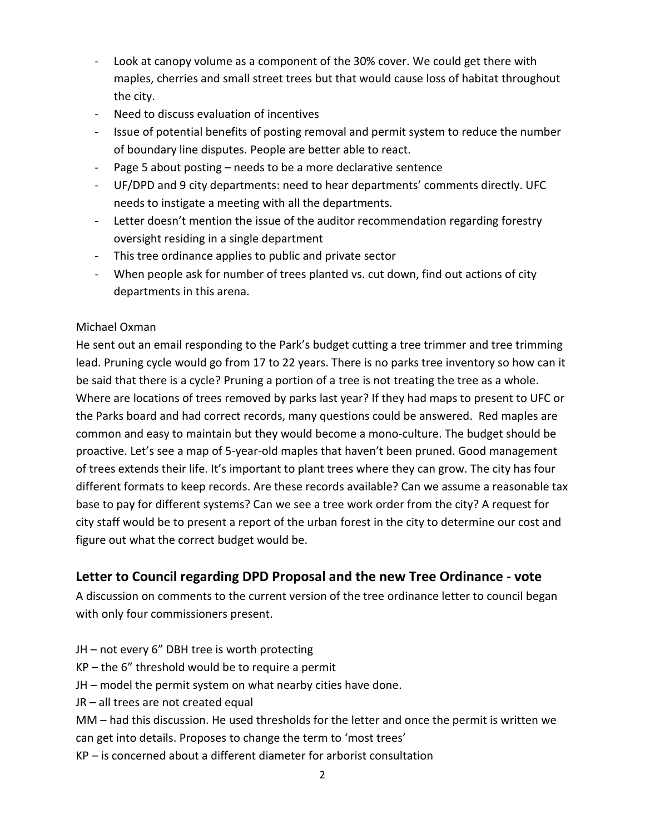- Look at canopy volume as a component of the 30% cover. We could get there with maples, cherries and small street trees but that would cause loss of habitat throughout the city.
- Need to discuss evaluation of incentives
- Issue of potential benefits of posting removal and permit system to reduce the number of boundary line disputes. People are better able to react.
- Page 5 about posting needs to be a more declarative sentence
- UF/DPD and 9 city departments: need to hear departments' comments directly. UFC needs to instigate a meeting with all the departments.
- Letter doesn't mention the issue of the auditor recommendation regarding forestry oversight residing in a single department
- This tree ordinance applies to public and private sector
- When people ask for number of trees planted vs. cut down, find out actions of city departments in this arena.

## Michael Oxman

He sent out an email responding to the Park's budget cutting a tree trimmer and tree trimming lead. Pruning cycle would go from 17 to 22 years. There is no parks tree inventory so how can it be said that there is a cycle? Pruning a portion of a tree is not treating the tree as a whole. Where are locations of trees removed by parks last year? If they had maps to present to UFC or the Parks board and had correct records, many questions could be answered. Red maples are common and easy to maintain but they would become a mono-culture. The budget should be proactive. Let's see a map of 5-year-old maples that haven't been pruned. Good management of trees extends their life. It's important to plant trees where they can grow. The city has four different formats to keep records. Are these records available? Can we assume a reasonable tax base to pay for different systems? Can we see a tree work order from the city? A request for city staff would be to present a report of the urban forest in the city to determine our cost and figure out what the correct budget would be.

## **Letter to Council regarding DPD Proposal and the new Tree Ordinance - vote**

A discussion on comments to the current version of the tree ordinance letter to council began with only four commissioners present.

- JH not every 6" DBH tree is worth protecting
- $KP -$  the 6" threshold would be to require a permit
- JH model the permit system on what nearby cities have done.
- JR all trees are not created equal
- MM had this discussion. He used thresholds for the letter and once the permit is written we can get into details. Proposes to change the term to 'most trees'
- KP is concerned about a different diameter for arborist consultation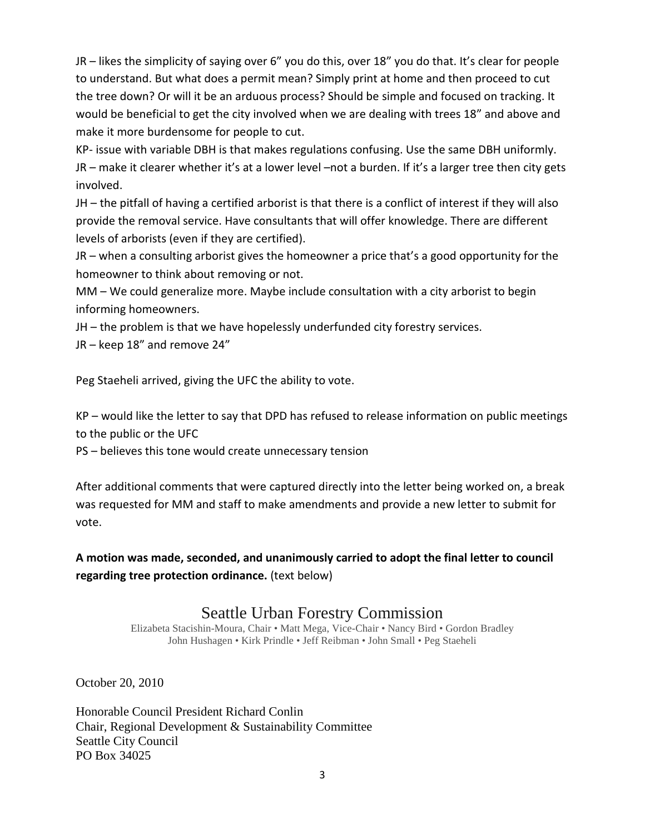JR – likes the simplicity of saying over 6" you do this, over 18" you do that. It's clear for people to understand. But what does a permit mean? Simply print at home and then proceed to cut the tree down? Or will it be an arduous process? Should be simple and focused on tracking. It would be beneficial to get the city involved when we are dealing with trees 18" and above and make it more burdensome for people to cut.

KP- issue with variable DBH is that makes regulations confusing. Use the same DBH uniformly. JR – make it clearer whether it's at a lower level –not a burden. If it's a larger tree then city gets involved.

JH – the pitfall of having a certified arborist is that there is a conflict of interest if they will also provide the removal service. Have consultants that will offer knowledge. There are different levels of arborists (even if they are certified).

JR – when a consulting arborist gives the homeowner a price that's a good opportunity for the homeowner to think about removing or not.

MM – We could generalize more. Maybe include consultation with a city arborist to begin informing homeowners.

JH – the problem is that we have hopelessly underfunded city forestry services.

JR – keep 18" and remove 24"

Peg Staeheli arrived, giving the UFC the ability to vote.

KP – would like the letter to say that DPD has refused to release information on public meetings to the public or the UFC

PS – believes this tone would create unnecessary tension

After additional comments that were captured directly into the letter being worked on, a break was requested for MM and staff to make amendments and provide a new letter to submit for vote.

**A motion was made, seconded, and unanimously carried to adopt the final letter to council regarding tree protection ordinance.** (text below)

# Seattle Urban Forestry Commission

Elizabeta Stacishin-Moura, Chair • Matt Mega, Vice-Chair • Nancy Bird • Gordon Bradley John Hushagen • Kirk Prindle • Jeff Reibman • John Small • Peg Staeheli

October 20, 2010

Honorable Council President Richard Conlin Chair, Regional Development & Sustainability Committee Seattle City Council PO Box 34025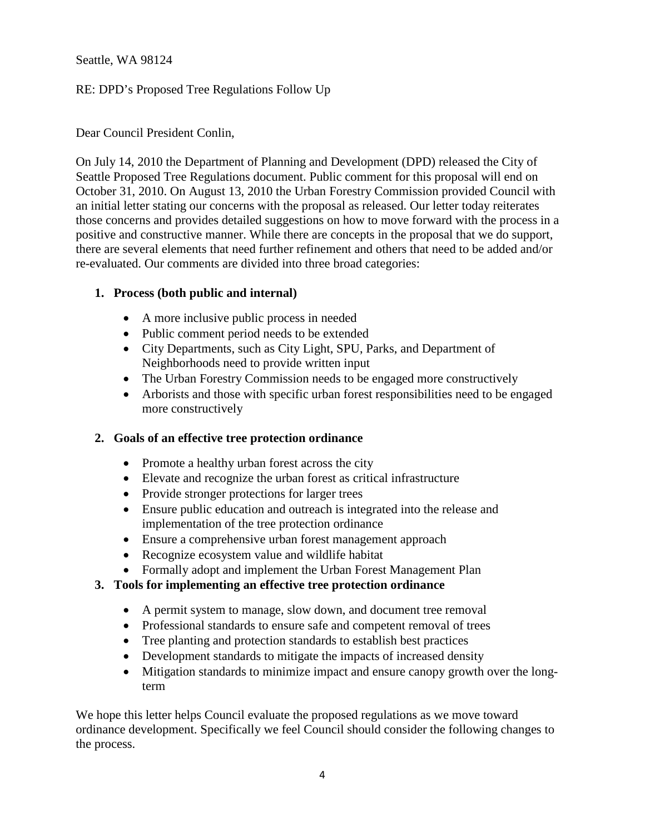Seattle, WA 98124

## RE: DPD's Proposed Tree Regulations Follow Up

Dear Council President Conlin,

On July 14, 2010 the Department of Planning and Development (DPD) released the City of Seattle Proposed Tree Regulations document. Public comment for this proposal will end on October 31, 2010. On August 13, 2010 the Urban Forestry Commission provided Council with an initial letter stating our concerns with the proposal as released. Our letter today reiterates those concerns and provides detailed suggestions on how to move forward with the process in a positive and constructive manner. While there are concepts in the proposal that we do support, there are several elements that need further refinement and others that need to be added and/or re-evaluated. Our comments are divided into three broad categories:

## **1. Process (both public and internal)**

- A more inclusive public process in needed
- Public comment period needs to be extended
- City Departments, such as City Light, SPU, Parks, and Department of Neighborhoods need to provide written input
- The Urban Forestry Commission needs to be engaged more constructively
- Arborists and those with specific urban forest responsibilities need to be engaged more constructively

## **2. Goals of an effective tree protection ordinance**

- Promote a healthy urban forest across the city
- Elevate and recognize the urban forest as critical infrastructure
- Provide stronger protections for larger trees
- Ensure public education and outreach is integrated into the release and implementation of the tree protection ordinance
- Ensure a comprehensive urban forest management approach
- Recognize ecosystem value and wildlife habitat
- Formally adopt and implement the Urban Forest Management Plan

## **3. Tools for implementing an effective tree protection ordinance**

- A permit system to manage, slow down, and document tree removal
- Professional standards to ensure safe and competent removal of trees
- Tree planting and protection standards to establish best practices
- Development standards to mitigate the impacts of increased density
- Mitigation standards to minimize impact and ensure canopy growth over the longterm

We hope this letter helps Council evaluate the proposed regulations as we move toward ordinance development. Specifically we feel Council should consider the following changes to the process.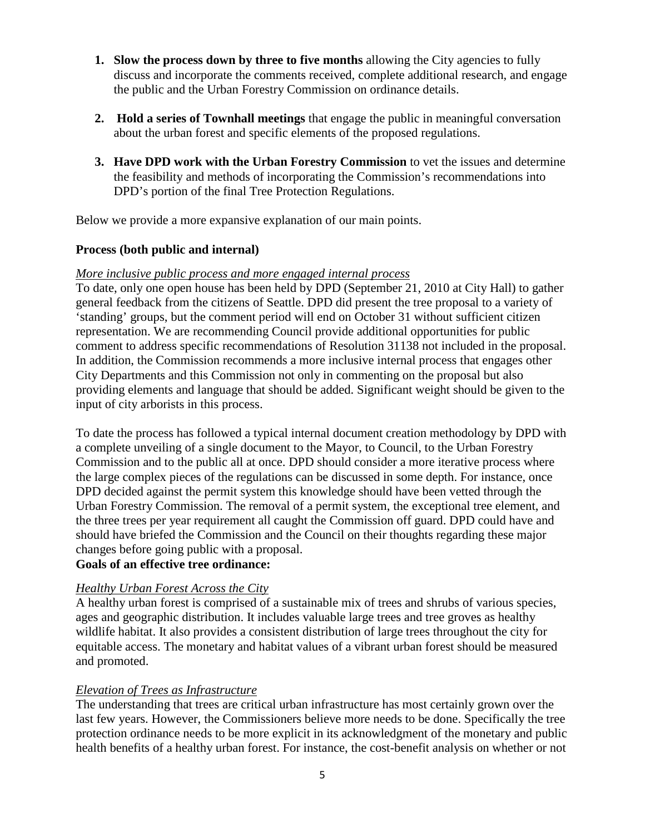- **1.** Slow the process down by three to five months allowing the City agencies to fully discuss and incorporate the comments received, complete additional research, and engage the public and the Urban Forestry Commission on ordinance details.
- **2. Hold a series of Townhall meetings** that engage the public in meaningful conversation about the urban forest and specific elements of the proposed regulations.
- **3. Have DPD work with the Urban Forestry Commission** to vet the issues and determine the feasibility and methods of incorporating the Commission's recommendations into DPD's portion of the final Tree Protection Regulations.

Below we provide a more expansive explanation of our main points.

## **Process (both public and internal)**

#### *More inclusive public process and more engaged internal process*

To date, only one open house has been held by DPD (September 21, 2010 at City Hall) to gather general feedback from the citizens of Seattle. DPD did present the tree proposal to a variety of 'standing' groups, but the comment period will end on October 31 without sufficient citizen representation. We are recommending Council provide additional opportunities for public comment to address specific recommendations of Resolution 31138 not included in the proposal. In addition, the Commission recommends a more inclusive internal process that engages other City Departments and this Commission not only in commenting on the proposal but also providing elements and language that should be added. Significant weight should be given to the input of city arborists in this process.

To date the process has followed a typical internal document creation methodology by DPD with a complete unveiling of a single document to the Mayor, to Council, to the Urban Forestry Commission and to the public all at once. DPD should consider a more iterative process where the large complex pieces of the regulations can be discussed in some depth. For instance, once DPD decided against the permit system this knowledge should have been vetted through the Urban Forestry Commission. The removal of a permit system, the exceptional tree element, and the three trees per year requirement all caught the Commission off guard. DPD could have and should have briefed the Commission and the Council on their thoughts regarding these major changes before going public with a proposal.

# **Goals of an effective tree ordinance:**

## *Healthy Urban Forest Across the City*

A healthy urban forest is comprised of a sustainable mix of trees and shrubs of various species, ages and geographic distribution. It includes valuable large trees and tree groves as healthy wildlife habitat. It also provides a consistent distribution of large trees throughout the city for equitable access. The monetary and habitat values of a vibrant urban forest should be measured and promoted.

## *Elevation of Trees as Infrastructure*

The understanding that trees are critical urban infrastructure has most certainly grown over the last few years. However, the Commissioners believe more needs to be done. Specifically the tree protection ordinance needs to be more explicit in its acknowledgment of the monetary and public health benefits of a healthy urban forest. For instance, the cost-benefit analysis on whether or not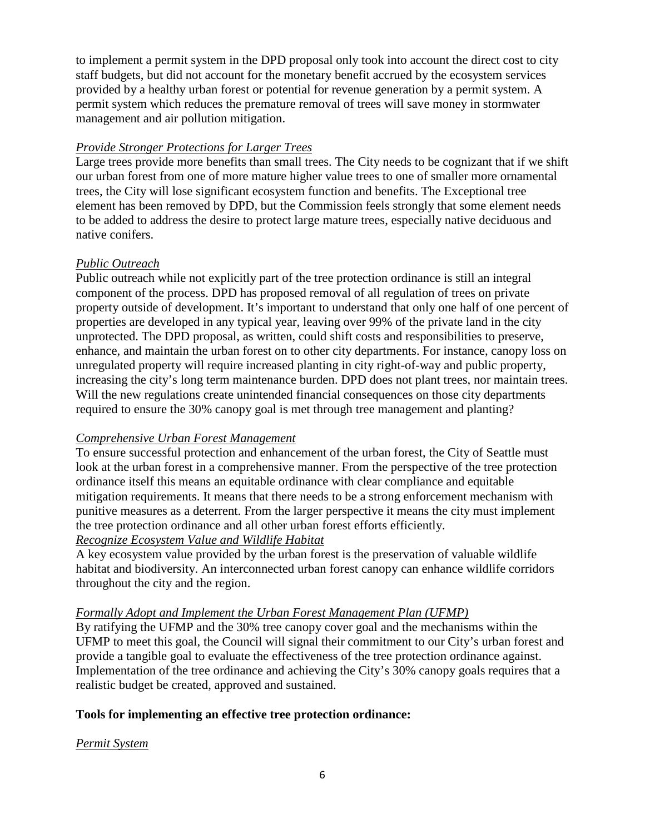to implement a permit system in the DPD proposal only took into account the direct cost to city staff budgets, but did not account for the monetary benefit accrued by the ecosystem services provided by a healthy urban forest or potential for revenue generation by a permit system. A permit system which reduces the premature removal of trees will save money in stormwater management and air pollution mitigation.

### *Provide Stronger Protections for Larger Trees*

Large trees provide more benefits than small trees. The City needs to be cognizant that if we shift our urban forest from one of more mature higher value trees to one of smaller more ornamental trees, the City will lose significant ecosystem function and benefits. The Exceptional tree element has been removed by DPD, but the Commission feels strongly that some element needs to be added to address the desire to protect large mature trees, especially native deciduous and native conifers.

#### *Public Outreach*

Public outreach while not explicitly part of the tree protection ordinance is still an integral component of the process. DPD has proposed removal of all regulation of trees on private property outside of development. It's important to understand that only one half of one percent of properties are developed in any typical year, leaving over 99% of the private land in the city unprotected. The DPD proposal, as written, could shift costs and responsibilities to preserve, enhance, and maintain the urban forest on to other city departments. For instance, canopy loss on unregulated property will require increased planting in city right-of-way and public property, increasing the city's long term maintenance burden. DPD does not plant trees, nor maintain trees. Will the new regulations create unintended financial consequences on those city departments required to ensure the 30% canopy goal is met through tree management and planting?

#### *Comprehensive Urban Forest Management*

To ensure successful protection and enhancement of the urban forest, the City of Seattle must look at the urban forest in a comprehensive manner. From the perspective of the tree protection ordinance itself this means an equitable ordinance with clear compliance and equitable mitigation requirements. It means that there needs to be a strong enforcement mechanism with punitive measures as a deterrent. From the larger perspective it means the city must implement the tree protection ordinance and all other urban forest efforts efficiently.

## *Recognize Ecosystem Value and Wildlife Habitat*

A key ecosystem value provided by the urban forest is the preservation of valuable wildlife habitat and biodiversity. An interconnected urban forest canopy can enhance wildlife corridors throughout the city and the region.

#### *Formally Adopt and Implement the Urban Forest Management Plan (UFMP)*

By ratifying the UFMP and the 30% tree canopy cover goal and the mechanisms within the UFMP to meet this goal, the Council will signal their commitment to our City's urban forest and provide a tangible goal to evaluate the effectiveness of the tree protection ordinance against. Implementation of the tree ordinance and achieving the City's 30% canopy goals requires that a realistic budget be created, approved and sustained.

## **Tools for implementing an effective tree protection ordinance:**

#### *Permit System*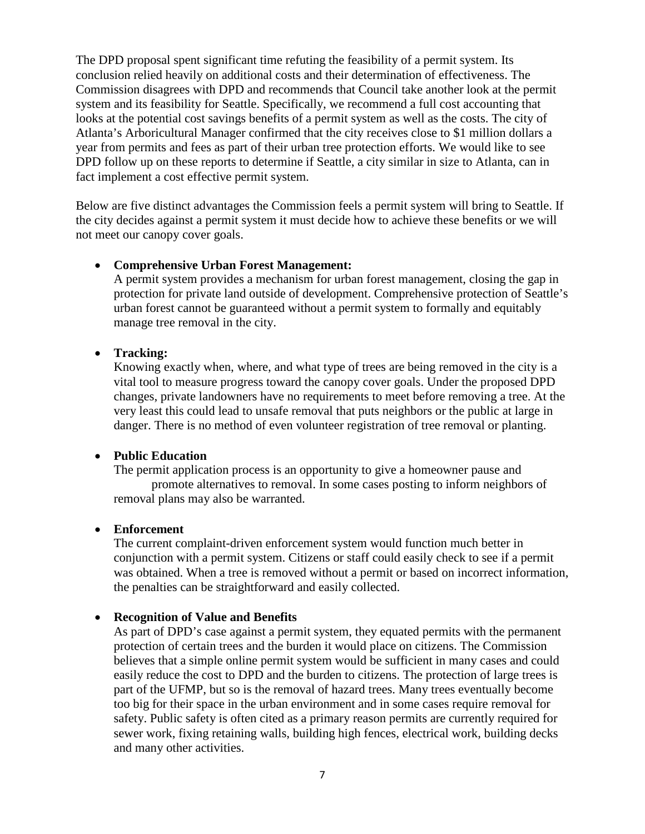The DPD proposal spent significant time refuting the feasibility of a permit system. Its conclusion relied heavily on additional costs and their determination of effectiveness. The Commission disagrees with DPD and recommends that Council take another look at the permit system and its feasibility for Seattle. Specifically, we recommend a full cost accounting that looks at the potential cost savings benefits of a permit system as well as the costs. The city of Atlanta's Arboricultural Manager confirmed that the city receives close to \$1 million dollars a year from permits and fees as part of their urban tree protection efforts. We would like to see DPD follow up on these reports to determine if Seattle, a city similar in size to Atlanta, can in fact implement a cost effective permit system.

Below are five distinct advantages the Commission feels a permit system will bring to Seattle. If the city decides against a permit system it must decide how to achieve these benefits or we will not meet our canopy cover goals.

#### • **Comprehensive Urban Forest Management:**

A permit system provides a mechanism for urban forest management, closing the gap in protection for private land outside of development. Comprehensive protection of Seattle's urban forest cannot be guaranteed without a permit system to formally and equitably manage tree removal in the city.

#### • **Tracking:**

Knowing exactly when, where, and what type of trees are being removed in the city is a vital tool to measure progress toward the canopy cover goals. Under the proposed DPD changes, private landowners have no requirements to meet before removing a tree. At the very least this could lead to unsafe removal that puts neighbors or the public at large in danger. There is no method of even volunteer registration of tree removal or planting.

#### • **Public Education**

The permit application process is an opportunity to give a homeowner pause and promote alternatives to removal. In some cases posting to inform neighbors of removal plans may also be warranted.

#### • **Enforcement**

The current complaint-driven enforcement system would function much better in conjunction with a permit system. Citizens or staff could easily check to see if a permit was obtained. When a tree is removed without a permit or based on incorrect information, the penalties can be straightforward and easily collected.

#### • **Recognition of Value and Benefits**

As part of DPD's case against a permit system, they equated permits with the permanent protection of certain trees and the burden it would place on citizens. The Commission believes that a simple online permit system would be sufficient in many cases and could easily reduce the cost to DPD and the burden to citizens. The protection of large trees is part of the UFMP, but so is the removal of hazard trees. Many trees eventually become too big for their space in the urban environment and in some cases require removal for safety. Public safety is often cited as a primary reason permits are currently required for sewer work, fixing retaining walls, building high fences, electrical work, building decks and many other activities.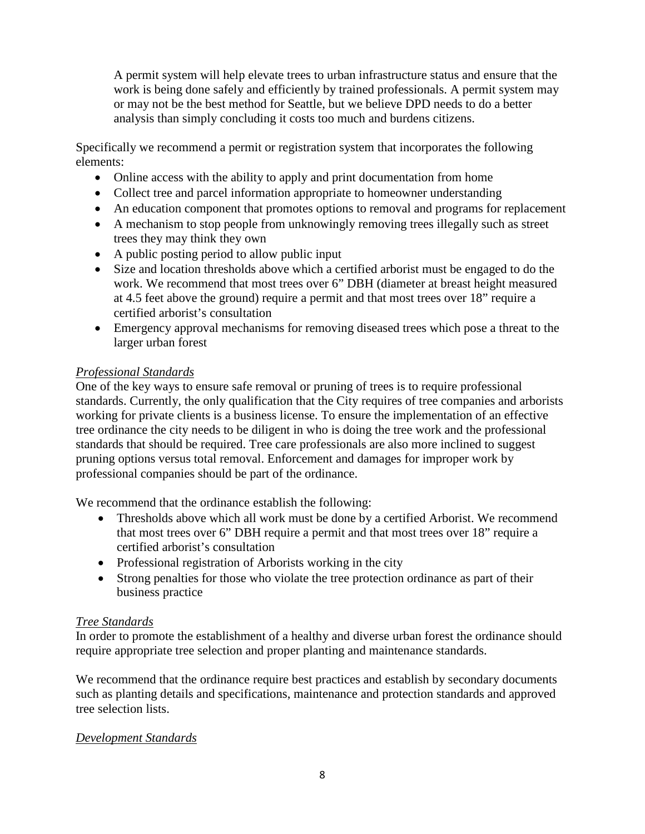A permit system will help elevate trees to urban infrastructure status and ensure that the work is being done safely and efficiently by trained professionals. A permit system may or may not be the best method for Seattle, but we believe DPD needs to do a better analysis than simply concluding it costs too much and burdens citizens.

Specifically we recommend a permit or registration system that incorporates the following elements:

- Online access with the ability to apply and print documentation from home
- Collect tree and parcel information appropriate to homeowner understanding
- An education component that promotes options to removal and programs for replacement
- A mechanism to stop people from unknowingly removing trees illegally such as street trees they may think they own
- A public posting period to allow public input
- Size and location thresholds above which a certified arborist must be engaged to do the work. We recommend that most trees over 6" DBH (diameter at breast height measured at 4.5 feet above the ground) require a permit and that most trees over 18" require a certified arborist's consultation
- Emergency approval mechanisms for removing diseased trees which pose a threat to the larger urban forest

## *Professional Standards*

One of the key ways to ensure safe removal or pruning of trees is to require professional standards. Currently, the only qualification that the City requires of tree companies and arborists working for private clients is a business license. To ensure the implementation of an effective tree ordinance the city needs to be diligent in who is doing the tree work and the professional standards that should be required. Tree care professionals are also more inclined to suggest pruning options versus total removal. Enforcement and damages for improper work by professional companies should be part of the ordinance.

We recommend that the ordinance establish the following:

- Thresholds above which all work must be done by a certified Arborist. We recommend that most trees over 6" DBH require a permit and that most trees over 18" require a certified arborist's consultation
- Professional registration of Arborists working in the city
- Strong penalties for those who violate the tree protection ordinance as part of their business practice

## *Tree Standards*

In order to promote the establishment of a healthy and diverse urban forest the ordinance should require appropriate tree selection and proper planting and maintenance standards.

We recommend that the ordinance require best practices and establish by secondary documents such as planting details and specifications, maintenance and protection standards and approved tree selection lists.

## *Development Standards*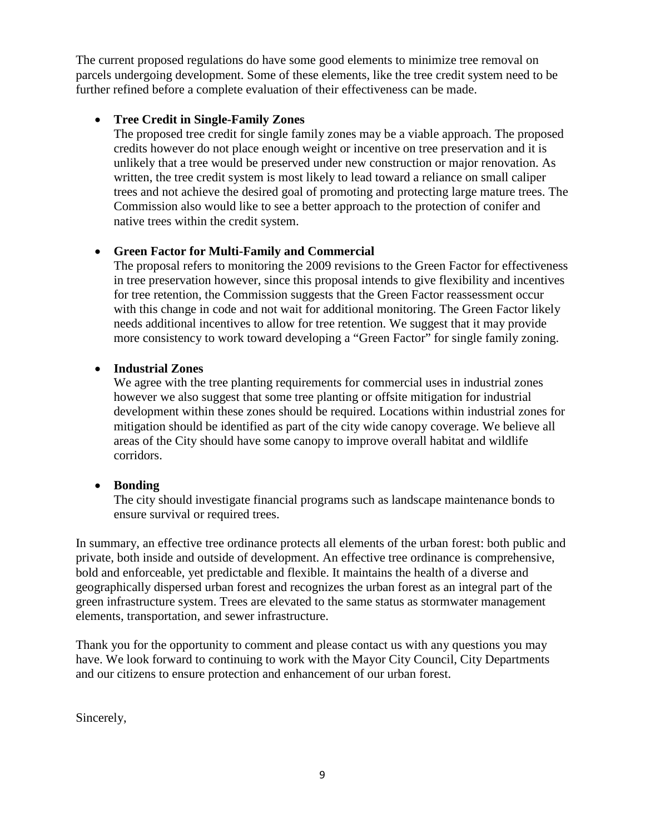The current proposed regulations do have some good elements to minimize tree removal on parcels undergoing development. Some of these elements, like the tree credit system need to be further refined before a complete evaluation of their effectiveness can be made.

## • **Tree Credit in Single-Family Zones**

The proposed tree credit for single family zones may be a viable approach. The proposed credits however do not place enough weight or incentive on tree preservation and it is unlikely that a tree would be preserved under new construction or major renovation. As written, the tree credit system is most likely to lead toward a reliance on small caliper trees and not achieve the desired goal of promoting and protecting large mature trees. The Commission also would like to see a better approach to the protection of conifer and native trees within the credit system.

## • **Green Factor for Multi-Family and Commercial**

The proposal refers to monitoring the 2009 revisions to the Green Factor for effectiveness in tree preservation however, since this proposal intends to give flexibility and incentives for tree retention, the Commission suggests that the Green Factor reassessment occur with this change in code and not wait for additional monitoring. The Green Factor likely needs additional incentives to allow for tree retention. We suggest that it may provide more consistency to work toward developing a "Green Factor" for single family zoning.

## • **Industrial Zones**

We agree with the tree planting requirements for commercial uses in industrial zones however we also suggest that some tree planting or offsite mitigation for industrial development within these zones should be required. Locations within industrial zones for mitigation should be identified as part of the city wide canopy coverage. We believe all areas of the City should have some canopy to improve overall habitat and wildlife corridors.

## • **Bonding**

The city should investigate financial programs such as landscape maintenance bonds to ensure survival or required trees.

In summary, an effective tree ordinance protects all elements of the urban forest: both public and private, both inside and outside of development. An effective tree ordinance is comprehensive, bold and enforceable, yet predictable and flexible. It maintains the health of a diverse and geographically dispersed urban forest and recognizes the urban forest as an integral part of the green infrastructure system. Trees are elevated to the same status as stormwater management elements, transportation, and sewer infrastructure.

Thank you for the opportunity to comment and please contact us with any questions you may have. We look forward to continuing to work with the Mayor City Council, City Departments and our citizens to ensure protection and enhancement of our urban forest.

Sincerely,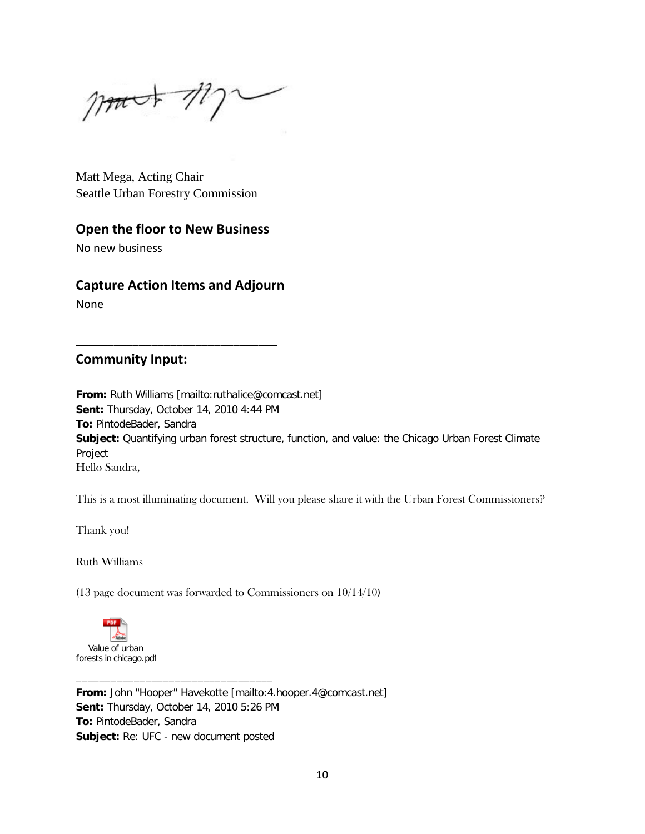$p_{\text{part}} + p_{\text{max}}$ 

Matt Mega, Acting Chair Seattle Urban Forestry Commission

# **Open the floor to New Business**

No new business

## **Capture Action Items and Adjourn**

\_\_\_\_\_\_\_\_\_\_\_\_\_\_\_\_\_\_\_\_\_\_\_\_\_\_\_\_\_\_\_\_

None

## **Community Input:**

**From:** Ruth Williams [mailto:ruthalice@comcast.net] **Sent:** Thursday, October 14, 2010 4:44 PM **To:** PintodeBader, Sandra **Subject:** Quantifying urban forest structure, function, and value: the Chicago Urban Forest Climate Project Hello Sandra,

This is a most illuminating document. Will you please share it with the Urban Forest Commissioners?

Thank you!

Ruth Williams

(13 page document was forwarded to Commissioners on 10/14/10)



**From:** John "Hooper" Havekotte [mailto:4.hooper.4@comcast.net] **Sent:** Thursday, October 14, 2010 5:26 PM **To:** PintodeBader, Sandra **Subject:** Re: UFC - new document posted

\_\_\_\_\_\_\_\_\_\_\_\_\_\_\_\_\_\_\_\_\_\_\_\_\_\_\_\_\_\_\_\_\_\_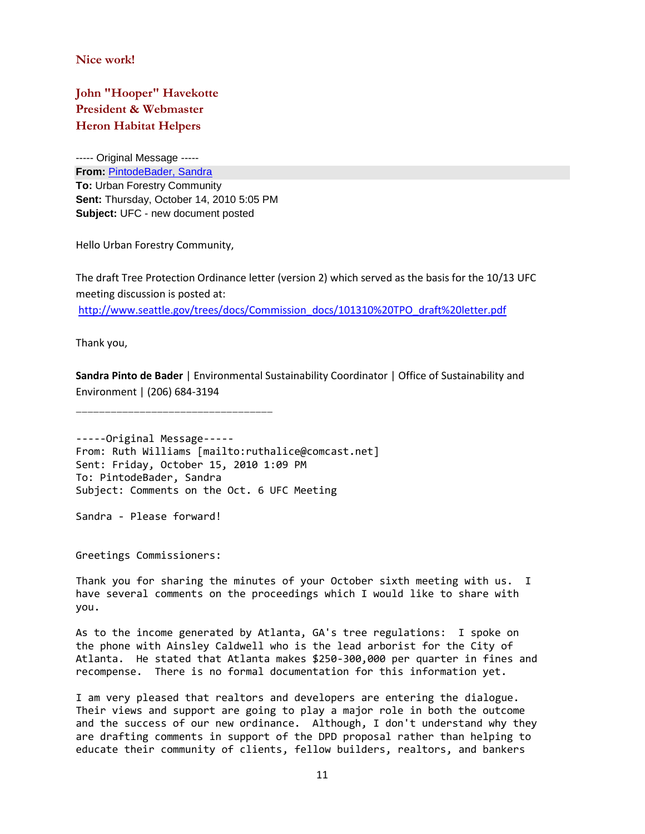**Nice work!**

**John "Hooper" Havekotte President & Webmaster Heron Habitat Helpers**

----- Original Message ----- **From:** [PintodeBader, Sandra](mailto:Sandra.PintodeBader@seattle.gov) **To:** Urban Forestry Community **Sent:** Thursday, October 14, 2010 5:05 PM **Subject:** UFC - new document posted

Hello Urban Forestry Community,

The draft Tree Protection Ordinance letter (version 2) which served as the basis for the 10/13 UFC meeting discussion is posted at: [http://www.seattle.gov/trees/docs/Commission\\_docs/101310%20TPO\\_draft%20letter.pdf](http://www.seattle.gov/trees/docs/Commission_docs/101310%20TPO_draft%20letter.pdf)

Thank you,

**Sandra Pinto de Bader** | Environmental Sustainability Coordinator | Office of Sustainability and Environment | (206) 684-3194

\_\_\_\_\_\_\_\_\_\_\_\_\_\_\_\_\_\_\_\_\_\_\_\_\_\_\_\_\_\_\_\_\_\_

-----Original Message----- From: Ruth Williams [mailto:ruthalice@comcast.net] Sent: Friday, October 15, 2010 1:09 PM To: PintodeBader, Sandra Subject: Comments on the Oct. 6 UFC Meeting

Sandra - Please forward!

Greetings Commissioners:

Thank you for sharing the minutes of your October sixth meeting with us. I have several comments on the proceedings which I would like to share with you.

As to the income generated by Atlanta, GA's tree regulations: I spoke on the phone with Ainsley Caldwell who is the lead arborist for the City of Atlanta. He stated that Atlanta makes \$250-300,000 per quarter in fines and recompense. There is no formal documentation for this information yet.

I am very pleased that realtors and developers are entering the dialogue. Their views and support are going to play a major role in both the outcome and the success of our new ordinance. Although, I don't understand why they are drafting comments in support of the DPD proposal rather than helping to educate their community of clients, fellow builders, realtors, and bankers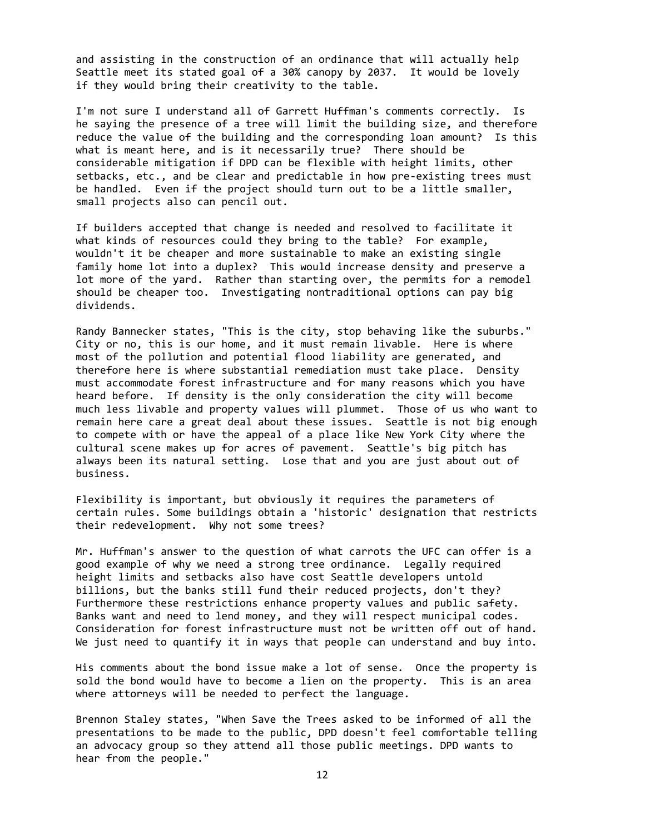and assisting in the construction of an ordinance that will actually help Seattle meet its stated goal of a 30% canopy by 2037. It would be lovely if they would bring their creativity to the table.

I'm not sure I understand all of Garrett Huffman's comments correctly. Is he saying the presence of a tree will limit the building size, and therefore reduce the value of the building and the corresponding loan amount? Is this what is meant here, and is it necessarily true? There should be considerable mitigation if DPD can be flexible with height limits, other setbacks, etc., and be clear and predictable in how pre-existing trees must be handled. Even if the project should turn out to be a little smaller, small projects also can pencil out.

If builders accepted that change is needed and resolved to facilitate it what kinds of resources could they bring to the table? For example, wouldn't it be cheaper and more sustainable to make an existing single family home lot into a duplex? This would increase density and preserve a lot more of the yard. Rather than starting over, the permits for a remodel should be cheaper too. Investigating nontraditional options can pay big dividends.

Randy Bannecker states, "This is the city, stop behaving like the suburbs." City or no, this is our home, and it must remain livable. Here is where most of the pollution and potential flood liability are generated, and therefore here is where substantial remediation must take place. Density must accommodate forest infrastructure and for many reasons which you have heard before. If density is the only consideration the city will become much less livable and property values will plummet. Those of us who want to remain here care a great deal about these issues. Seattle is not big enough to compete with or have the appeal of a place like New York City where the cultural scene makes up for acres of pavement. Seattle's big pitch has always been its natural setting. Lose that and you are just about out of business.

Flexibility is important, but obviously it requires the parameters of certain rules. Some buildings obtain a 'historic' designation that restricts their redevelopment. Why not some trees?

Mr. Huffman's answer to the question of what carrots the UFC can offer is a good example of why we need a strong tree ordinance. Legally required height limits and setbacks also have cost Seattle developers untold billions, but the banks still fund their reduced projects, don't they? Furthermore these restrictions enhance property values and public safety. Banks want and need to lend money, and they will respect municipal codes. Consideration for forest infrastructure must not be written off out of hand. We just need to quantify it in ways that people can understand and buy into.

His comments about the bond issue make a lot of sense. Once the property is sold the bond would have to become a lien on the property. This is an area where attorneys will be needed to perfect the language.

Brennon Staley states, "When Save the Trees asked to be informed of all the presentations to be made to the public, DPD doesn't feel comfortable telling an advocacy group so they attend all those public meetings. DPD wants to hear from the people."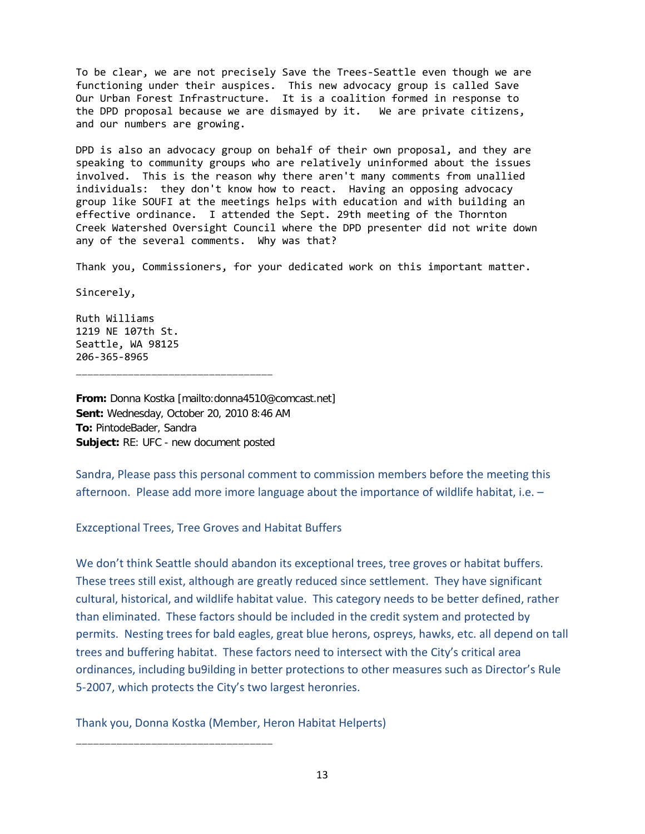To be clear, we are not precisely Save the Trees-Seattle even though we are functioning under their auspices. This new advocacy group is called Save Our Urban Forest Infrastructure. It is a coalition formed in response to the DPD proposal because we are dismayed by it. We are private citizens, and our numbers are growing.

DPD is also an advocacy group on behalf of their own proposal, and they are speaking to community groups who are relatively uninformed about the issues involved. This is the reason why there aren't many comments from unallied individuals: they don't know how to react. Having an opposing advocacy group like SOUFI at the meetings helps with education and with building an effective ordinance. I attended the Sept. 29th meeting of the Thornton Creek Watershed Oversight Council where the DPD presenter did not write down any of the several comments. Why was that?

Thank you, Commissioners, for your dedicated work on this important matter.

Sincerely,

Ruth Williams 1219 NE 107th St. Seattle, WA 98125 206-365-8965 \_\_\_\_\_\_\_\_\_\_\_\_\_\_\_\_\_\_\_\_\_\_\_\_\_\_\_\_\_\_\_\_\_\_

**From:** Donna Kostka [mailto:donna4510@comcast.net] **Sent:** Wednesday, October 20, 2010 8:46 AM **To:** PintodeBader, Sandra **Subject:** RE: UFC - new document posted

Sandra, Please pass this personal comment to commission members before the meeting this afternoon. Please add more imore language about the importance of wildlife habitat, i.e. –

#### Exzceptional Trees, Tree Groves and Habitat Buffers

We don't think Seattle should abandon its exceptional trees, tree groves or habitat buffers. These trees still exist, although are greatly reduced since settlement. They have significant cultural, historical, and wildlife habitat value. This category needs to be better defined, rather than eliminated. These factors should be included in the credit system and protected by permits. Nesting trees for bald eagles, great blue herons, ospreys, hawks, etc. all depend on tall trees and buffering habitat. These factors need to intersect with the City's critical area ordinances, including bu9ilding in better protections to other measures such as Director's Rule 5-2007, which protects the City's two largest heronries.

Thank you, Donna Kostka (Member, Heron Habitat Helperts)

\_\_\_\_\_\_\_\_\_\_\_\_\_\_\_\_\_\_\_\_\_\_\_\_\_\_\_\_\_\_\_\_\_\_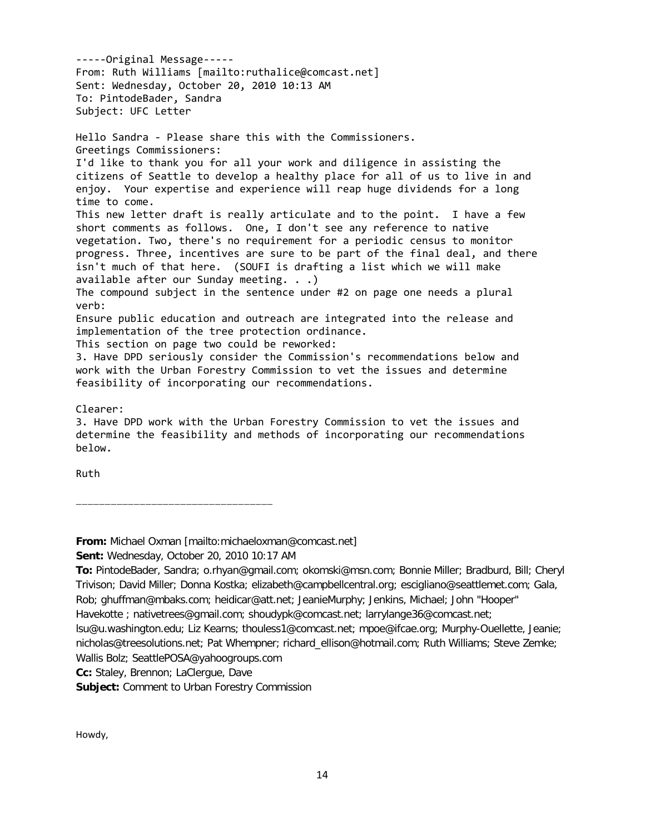-----Original Message----- From: Ruth Williams [mailto:ruthalice@comcast.net] Sent: Wednesday, October 20, 2010 10:13 AM To: PintodeBader, Sandra Subject: UFC Letter Hello Sandra - Please share this with the Commissioners. Greetings Commissioners: I'd like to thank you for all your work and diligence in assisting the citizens of Seattle to develop a healthy place for all of us to live in and enjoy. Your expertise and experience will reap huge dividends for a long time to come. This new letter draft is really articulate and to the point. I have a few short comments as follows. One, I don't see any reference to native vegetation. Two, there's no requirement for a periodic census to monitor progress. Three, incentives are sure to be part of the final deal, and there isn't much of that here. (SOUFI is drafting a list which we will make available after our Sunday meeting. . .) The compound subject in the sentence under #2 on page one needs a plural verb: Ensure public education and outreach are integrated into the release and implementation of the tree protection ordinance. This section on page two could be reworked: 3. Have DPD seriously consider the Commission's recommendations below and work with the Urban Forestry Commission to vet the issues and determine feasibility of incorporating our recommendations. Clearer: 3. Have DPD work with the Urban Forestry Commission to vet the issues and determine the feasibility and methods of incorporating our recommendations

Ruth

below.

**From:** Michael Oxman [mailto:michaeloxman@comcast.net]

**Sent:** Wednesday, October 20, 2010 10:17 AM

\_\_\_\_\_\_\_\_\_\_\_\_\_\_\_\_\_\_\_\_\_\_\_\_\_\_\_\_\_\_\_\_\_\_

**To:** PintodeBader, Sandra; o.rhyan@gmail.com; okomski@msn.com; Bonnie Miller; Bradburd, Bill; Cheryl Trivison; David Miller; Donna Kostka; elizabeth@campbellcentral.org; escigliano@seattlemet.com; Gala, Rob; ghuffman@mbaks.com; heidicar@att.net; JeanieMurphy; Jenkins, Michael; John "Hooper"

Havekotte ; nativetrees@gmail.com; shoudypk@comcast.net; larrylange36@comcast.net;

lsu@u.washington.edu; Liz Kearns; thouless1@comcast.net; mpoe@ifcae.org; Murphy-Ouellette, Jeanie; nicholas@treesolutions.net; Pat Whempner; richard\_ellison@hotmail.com; Ruth Williams; Steve Zemke;

Wallis Bolz; SeattlePOSA@yahoogroups.com

**Cc:** Staley, Brennon; LaClergue, Dave

**Subject:** Comment to Urban Forestry Commission

Howdy,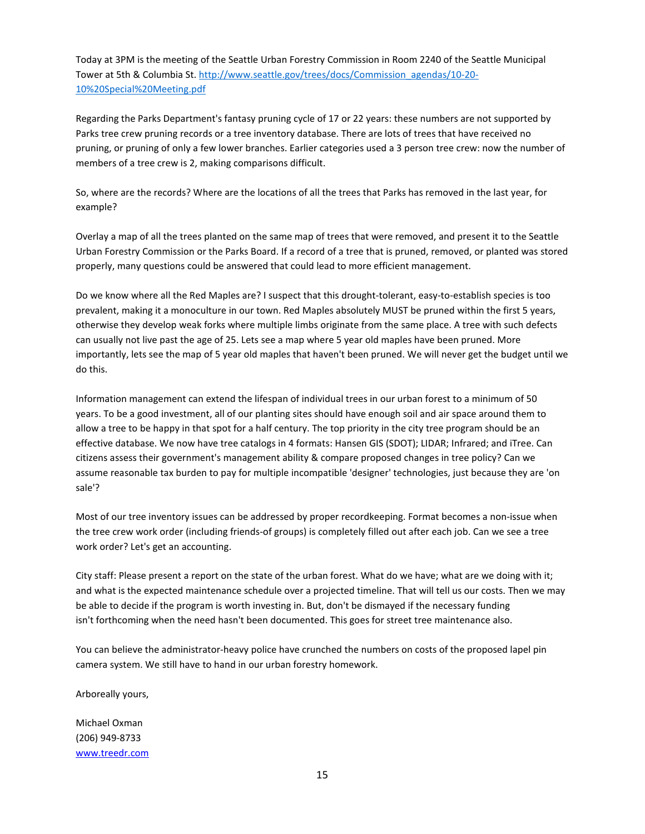Today at 3PM is the meeting of the Seattle Urban Forestry Commission in Room 2240 of the Seattle Municipal Tower at 5th & Columbia St. http://www.seattle.gov/trees/docs/Commission\_agendas/10-20- 10%20Special%20Meeting.pdf

Regarding the Parks Department's fantasy pruning cycle of 17 or 22 years: these numbers are not supported by Parks tree crew pruning records or a tree inventory database. There are lots of trees that have received no pruning, or pruning of only a few lower branches. Earlier categories used a 3 person tree crew: now the number of members of a tree crew is 2, making comparisons difficult.

So, where are the records? Where are the locations of all the trees that Parks has removed in the last year, for example?

Overlay a map of all the trees planted on the same map of trees that were removed, and present it to the Seattle Urban Forestry Commission or the Parks Board. If a record of a tree that is pruned, removed, or planted was stored properly, many questions could be answered that could lead to more efficient management.

Do we know where all the Red Maples are? I suspect that this drought-tolerant, easy-to-establish species is too prevalent, making it a monoculture in our town. Red Maples absolutely MUST be pruned within the first 5 years, otherwise they develop weak forks where multiple limbs originate from the same place. A tree with such defects can usually not live past the age of 25. Lets see a map where 5 year old maples have been pruned. More importantly, lets see the map of 5 year old maples that haven't been pruned. We will never get the budget until we do this.

Information management can extend the lifespan of individual trees in our urban forest to a minimum of 50 years. To be a good investment, all of our planting sites should have enough soil and air space around them to allow a tree to be happy in that spot for a half century. The top priority in the city tree program should be an effective database. We now have tree catalogs in 4 formats: Hansen GIS (SDOT); LIDAR; Infrared; and iTree. Can citizens assess their government's management ability & compare proposed changes in tree policy? Can we assume reasonable tax burden to pay for multiple incompatible 'designer' technologies, just because they are 'on sale'?

Most of our tree inventory issues can be addressed by proper recordkeeping. Format becomes a non-issue when the tree crew work order (including friends-of groups) is completely filled out after each job. Can we see a tree work order? Let's get an accounting.

City staff: Please present a report on the state of the urban forest. What do we have; what are we doing with it; and what is the expected maintenance schedule over a projected timeline. That will tell us our costs. Then we may be able to decide if the program is worth investing in. But, don't be dismayed if the necessary funding isn't forthcoming when the need hasn't been documented. This goes for street tree maintenance also.

You can believe the administrator-heavy police have crunched the numbers on costs of the proposed lapel pin camera system. We still have to hand in our urban forestry homework.

Arboreally yours,

Michael Oxman (206) 949-8733 www.treedr.com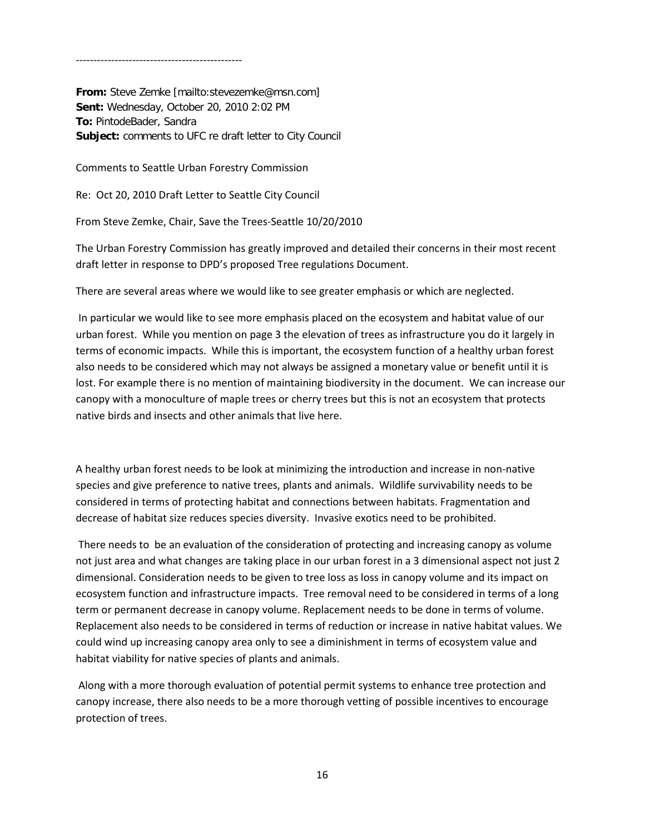**From:** Steve Zemke [mailto:stevezemke@msn.com] **Sent:** Wednesday, October 20, 2010 2:02 PM **To:** PintodeBader, Sandra **Subject:** comments to UFC re draft letter to City Council

Comments to Seattle Urban Forestry Commission

-----------------------------------------------

Re: Oct 20, 2010 Draft Letter to Seattle City Council

From Steve Zemke, Chair, Save the Trees-Seattle 10/20/2010

The Urban Forestry Commission has greatly improved and detailed their concerns in their most recent draft letter in response to DPD's proposed Tree regulations Document.

There are several areas where we would like to see greater emphasis or which are neglected.

In particular we would like to see more emphasis placed on the ecosystem and habitat value of our urban forest. While you mention on page 3 the elevation of trees as infrastructure you do it largely in terms of economic impacts. While this is important, the ecosystem function of a healthy urban forest also needs to be considered which may not always be assigned a monetary value or benefit until it is lost. For example there is no mention of maintaining biodiversity in the document. We can increase our canopy with a monoculture of maple trees or cherry trees but this is not an ecosystem that protects native birds and insects and other animals that live here.

A healthy urban forest needs to be look at minimizing the introduction and increase in non-native species and give preference to native trees, plants and animals. Wildlife survivability needs to be considered in terms of protecting habitat and connections between habitats. Fragmentation and decrease of habitat size reduces species diversity. Invasive exotics need to be prohibited.

There needs to be an evaluation of the consideration of protecting and increasing canopy as volume not just area and what changes are taking place in our urban forest in a 3 dimensional aspect not just 2 dimensional. Consideration needs to be given to tree loss as loss in canopy volume and its impact on ecosystem function and infrastructure impacts. Tree removal need to be considered in terms of a long term or permanent decrease in canopy volume. Replacement needs to be done in terms of volume. Replacement also needs to be considered in terms of reduction or increase in native habitat values. We could wind up increasing canopy area only to see a diminishment in terms of ecosystem value and habitat viability for native species of plants and animals.

Along with a more thorough evaluation of potential permit systems to enhance tree protection and canopy increase, there also needs to be a more thorough vetting of possible incentives to encourage protection of trees.